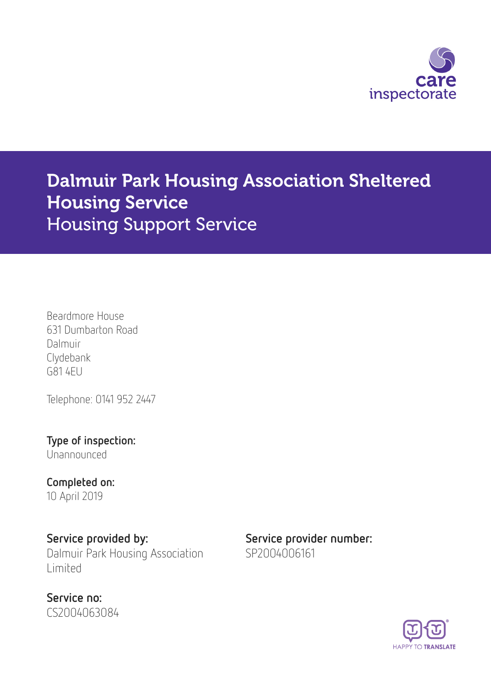

Dalmuir Park Housing Association Sheltered Housing Service Housing Support Service

Beardmore House 631 Dumbarton Road Dalmuir Clydebank G81 4EU

Telephone: 0141 952 2447

Type of inspection: Unannounced

Completed on: 10 April 2019

Service provided by: Service provider number: Dalmuir Park Housing Association Limited

Service no: CS2004063084 SP2004006161

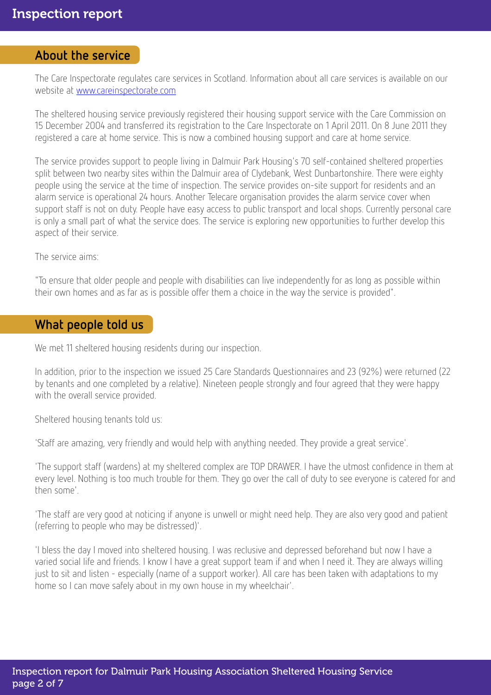#### About the service

The Care Inspectorate regulates care services in Scotland. Information about all care services is available on our website at [www.careinspectorate.com](http://www.careinspectorate.com)

The sheltered housing service previously registered their housing support service with the Care Commission on 15 December 2004 and transferred its registration to the Care Inspectorate on 1 April 2011. On 8 June 2011 they registered a care at home service. This is now a combined housing support and care at home service.

The service provides support to people living in Dalmuir Park Housing's 70 self-contained sheltered properties split between two nearby sites within the Dalmuir area of Clydebank, West Dunbartonshire. There were eighty people using the service at the time of inspection. The service provides on-site support for residents and an alarm service is operational 24 hours. Another Telecare organisation provides the alarm service cover when support staff is not on duty. People have easy access to public transport and local shops. Currently personal care is only a small part of what the service does. The service is exploring new opportunities to further develop this aspect of their service.

The service aims:

"To ensure that older people and people with disabilities can live independently for as long as possible within their own homes and as far as is possible offer them a choice in the way the service is provided".

## What people told us

We met 11 sheltered housing residents during our inspection.

In addition, prior to the inspection we issued 25 Care Standards Questionnaires and 23 (92%) were returned (22 by tenants and one completed by a relative). Nineteen people strongly and four agreed that they were happy with the overall service provided.

Sheltered housing tenants told us:

'Staff are amazing, very friendly and would help with anything needed. They provide a great service'.

'The support staff (wardens) at my sheltered complex are TOP DRAWER. I have the utmost confidence in them at every level. Nothing is too much trouble for them. They go over the call of duty to see everyone is catered for and then some'.

'The staff are very good at noticing if anyone is unwell or might need help. They are also very good and patient (referring to people who may be distressed)'.

'I bless the day I moved into sheltered housing. I was reclusive and depressed beforehand but now I have a varied social life and friends. I know I have a great support team if and when I need it. They are always willing just to sit and listen - especially (name of a support worker). All care has been taken with adaptations to my home so I can move safely about in my own house in my wheelchair'.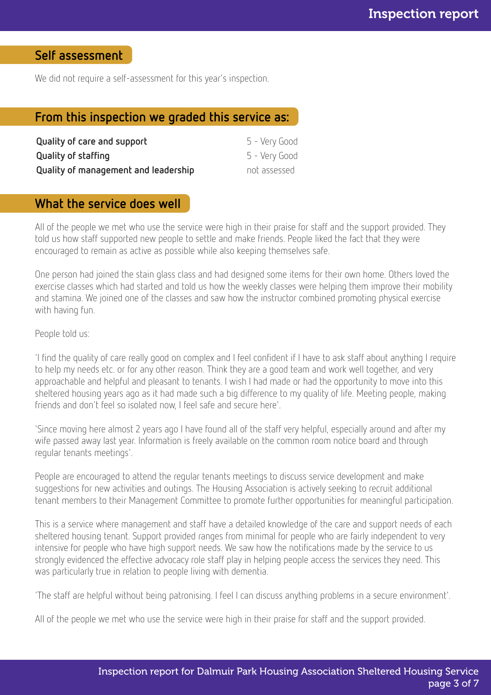### Self assessment

We did not require a self-assessment for this year's inspection.

## From this inspection we graded this service as:

| Quality of care and support          | 5 - Very Good |
|--------------------------------------|---------------|
| <b>Quality of staffing</b>           | 5 - Very Good |
| Quality of management and leadership | not assessed  |

#### What the service does well

All of the people we met who use the service were high in their praise for staff and the support provided. They told us how staff supported new people to settle and make friends. People liked the fact that they were encouraged to remain as active as possible while also keeping themselves safe.

One person had joined the stain glass class and had designed some items for their own home. Others loved the exercise classes which had started and told us how the weekly classes were helping them improve their mobility and stamina. We joined one of the classes and saw how the instructor combined promoting physical exercise with having fun.

#### People told us:

'I find the quality of care really good on complex and I feel confident if I have to ask staff about anything I require to help my needs etc. or for any other reason. Think they are a good team and work well together, and very approachable and helpful and pleasant to tenants. I wish I had made or had the opportunity to move into this sheltered housing years ago as it had made such a big difference to my quality of life. Meeting people, making friends and don't feel so isolated now, I feel safe and secure here'.

'Since moving here almost 2 years ago I have found all of the staff very helpful, especially around and after my wife passed away last year. Information is freely available on the common room notice board and through regular tenants meetings'.

People are encouraged to attend the regular tenants meetings to discuss service development and make suggestions for new activities and outings. The Housing Association is actively seeking to recruit additional tenant members to their Management Committee to promote further opportunities for meaningful participation.

This is a service where management and staff have a detailed knowledge of the care and support needs of each sheltered housing tenant. Support provided ranges from minimal for people who are fairly independent to very intensive for people who have high support needs. We saw how the notifications made by the service to us strongly evidenced the effective advocacy role staff play in helping people access the services they need. This was particularly true in relation to people living with dementia.

'The staff are helpful without being patronising. I feel I can discuss anything problems in a secure environment'.

All of the people we met who use the service were high in their praise for staff and the support provided.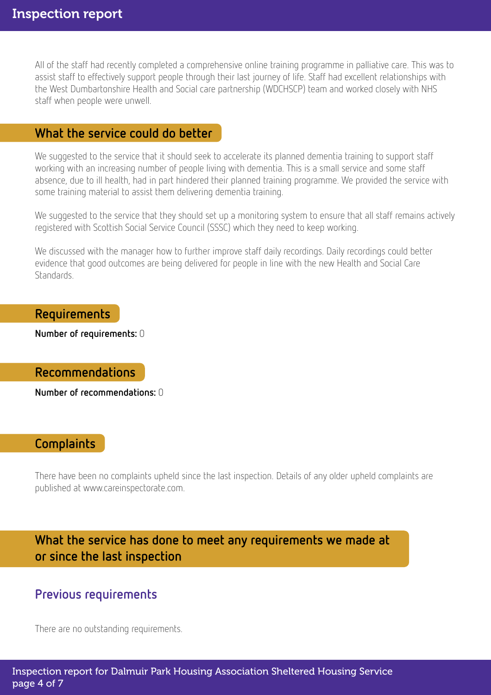All of the staff had recently completed a comprehensive online training programme in palliative care. This was to assist staff to effectively support people through their last journey of life. Staff had excellent relationships with the West Dumbartonshire Health and Social care partnership (WDCHSCP) team and worked closely with NHS staff when people were unwell.

#### What the service could do better

We suggested to the service that it should seek to accelerate its planned dementia training to support staff working with an increasing number of people living with dementia. This is a small service and some staff absence, due to ill health, had in part hindered their planned training programme. We provided the service with some training material to assist them delivering dementia training.

We suggested to the service that they should set up a monitoring system to ensure that all staff remains actively registered with Scottish Social Service Council (SSSC) which they need to keep working.

We discussed with the manager how to further improve staff daily recordings. Daily recordings could better evidence that good outcomes are being delivered for people in line with the new Health and Social Care Standards.

#### Requirements

Number of requirements: 0

Recommendations

Number of recommendations: 0

#### **Complaints**

There have been no complaints upheld since the last inspection. Details of any older upheld complaints are published at www.careinspectorate.com.

What the service has done to meet any requirements we made at or since the last inspection

#### Previous requirements

There are no outstanding requirements.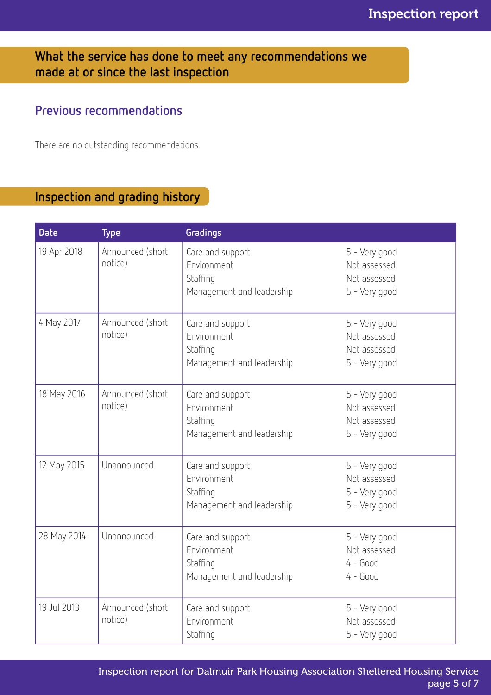# What the service has done to meet any recommendations we made at or since the last inspection

## Previous recommendations

There are no outstanding recommendations.

# Inspection and grading history

| <b>Date</b> | <b>Type</b>                 | Gradings                                                                 |                                                                 |
|-------------|-----------------------------|--------------------------------------------------------------------------|-----------------------------------------------------------------|
| 19 Apr 2018 | Announced (short<br>notice) | Care and support<br>Environment<br>Staffing<br>Management and leadership | 5 - Very good<br>Not assessed<br>Not assessed<br>5 - Very good  |
| 4 May 2017  | Announced (short<br>notice) | Care and support<br>Environment<br>Staffing<br>Management and leadership | 5 - Very good<br>Not assessed<br>Not assessed<br>5 - Very good  |
| 18 May 2016 | Announced (short<br>notice) | Care and support<br>Environment<br>Staffing<br>Management and leadership | 5 - Very good<br>Not assessed<br>Not assessed<br>5 - Very good  |
| 12 May 2015 | Unannounced                 | Care and support<br>Environment<br>Staffing<br>Management and leadership | 5 - Very good<br>Not assessed<br>5 - Very good<br>5 - Very good |
| 28 May 2014 | Unannounced                 | Care and support<br>Environment<br>Staffing<br>Management and leadership | 5 - Very good<br>Not assessed<br>$4 - Good$<br>$4 - Good$       |
| 19 Jul 2013 | Announced (short<br>notice) | Care and support<br>Environment<br>Staffing                              | 5 - Very good<br>Not assessed<br>5 - Very good                  |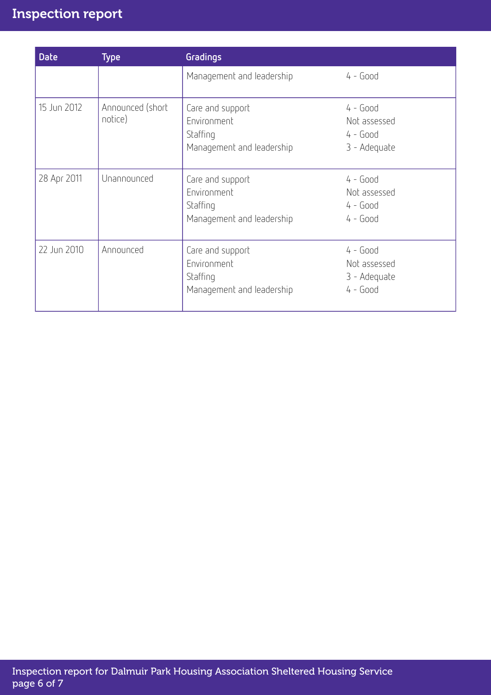# Inspection report

| <b>Date</b> | <b>Type</b>                 | <b>Gradings</b>                                                          |                                                          |
|-------------|-----------------------------|--------------------------------------------------------------------------|----------------------------------------------------------|
|             |                             | Management and leadership                                                | $4 - Good$                                               |
| 15 Jun 2012 | Announced (short<br>notice) | Care and support<br>Environment<br>Staffing<br>Management and leadership | $4 - Good$<br>Not assessed<br>$4 - Good$<br>3 - Adequate |
| 28 Apr 2011 | Unannounced                 | Care and support<br>Environment<br>Staffing<br>Management and leadership | $4 - Good$<br>Not assessed<br>$4 - Good$<br>$4 - Good$   |
| 22 Jun 2010 | Announced                   | Care and support<br>Environment<br>Staffing<br>Management and leadership | $4 - Good$<br>Not assessed<br>3 - Adequate<br>$4 - Good$ |